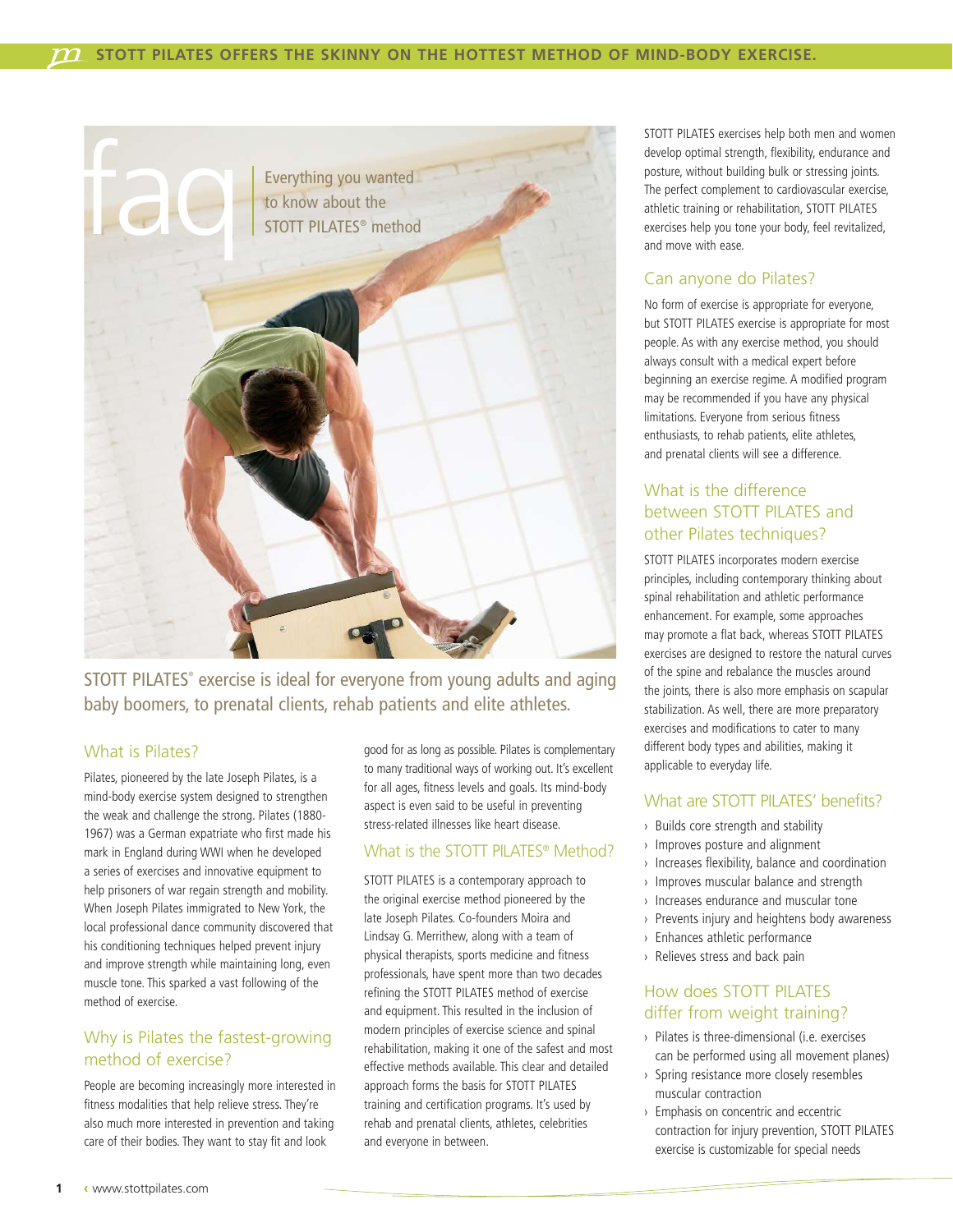

STOTT PILATES® exercise is ideal for everyone from young adults and aging baby boomers, to prenatal clients, rehab patients and elite athletes.

#### What is Pilates?

Pilates, pioneered by the late Joseph Pilates, is a mind-body exercise system designed to strengthen the weak and challenge the strong. Pilates (1880- 1967) was a German expatriate who first made his mark in England during WWI when he developed a series of exercises and innovative equipment to help prisoners of war regain strength and mobility. When Joseph Pilates immigrated to New York, the local professional dance community discovered that his conditioning techniques helped prevent injury and improve strength while maintaining long, even muscle tone. This sparked a vast following of the method of exercise.

#### Why is Pilates the fastest-growing method of exercise?

People are becoming increasingly more interested in fitness modalities that help relieve stress. They're also much more interested in prevention and taking care of their bodies. They want to stay fit and look

good for as long as possible. Pilates is complementary to many traditional ways of working out. It's excellent for all ages, fitness levels and goals. Its mind-body aspect is even said to be useful in preventing stress-related illnesses like heart disease.

#### What is the STOTT PILATES<sup>®</sup> Method?

STOTT PILATES is a contemporary approach to the original exercise method pioneered by the late Joseph Pilates. Co-founders Moira and Lindsay G. Merrithew, along with a team of physical therapists, sports medicine and fitness professionals, have spent more than two decades refining the STOTT PILATES method of exercise and equipment. This resulted in the inclusion of modern principles of exercise science and spinal rehabilitation, making it one of the safest and most effective methods available. This clear and detailed approach forms the basis for STOTT PILATES training and certification programs. It's used by rehab and prenatal clients, athletes, celebrities and everyone in between.

STOTT PILATES exercises help both men and women develop optimal strength, flexibility, endurance and posture, without building bulk or stressing joints. The perfect complement to cardiovascular exercise, athletic training or rehabilitation, STOTT PILATES exercises help you tone your body, feel revitalized, and move with ease.

# Can anyone do Pilates?

No form of exercise is appropriate for everyone, but STOTT PILATES exercise is appropriate for most people. As with any exercise method, you should always consult with a medical expert before beginning an exercise regime. A modified program may be recommended if you have any physical limitations. Everyone from serious fitness enthusiasts, to rehab patients, elite athletes, and prenatal clients will see a difference.

# What is the difference between STOTT PILATES and other Pilates techniques?

STOTT PILATES incorporates modern exercise principles, including contemporary thinking about spinal rehabilitation and athletic performance enhancement. For example, some approaches may promote a flat back, whereas STOTT PILATES exercises are designed to restore the natural curves of the spine and rebalance the muscles around the joints, there is also more emphasis on scapular stabilization. As well, there are more preparatory exercises and modifications to cater to many different body types and abilities, making it applicable to everyday life.

# What are STOTT PII ATES' benefits?

- › Builds core strength and stability
- › Improves posture and alignment
- › Increases flexibility, balance and coordination
- › Improves muscular balance and strength
- › Increases endurance and muscular tone
- › Prevents injury and heightens body awareness
- › Enhances athletic performance
- › Relieves stress and back pain

# How does STOTT PILATES differ from weight training?

- › Pilates is three-dimensional (i.e. exercises can be performed using all movement planes)
- › Spring resistance more closely resembles muscular contraction
- › Emphasis on concentric and eccentric contraction for injury prevention, STOTT PILATES exercise is customizable for special needs